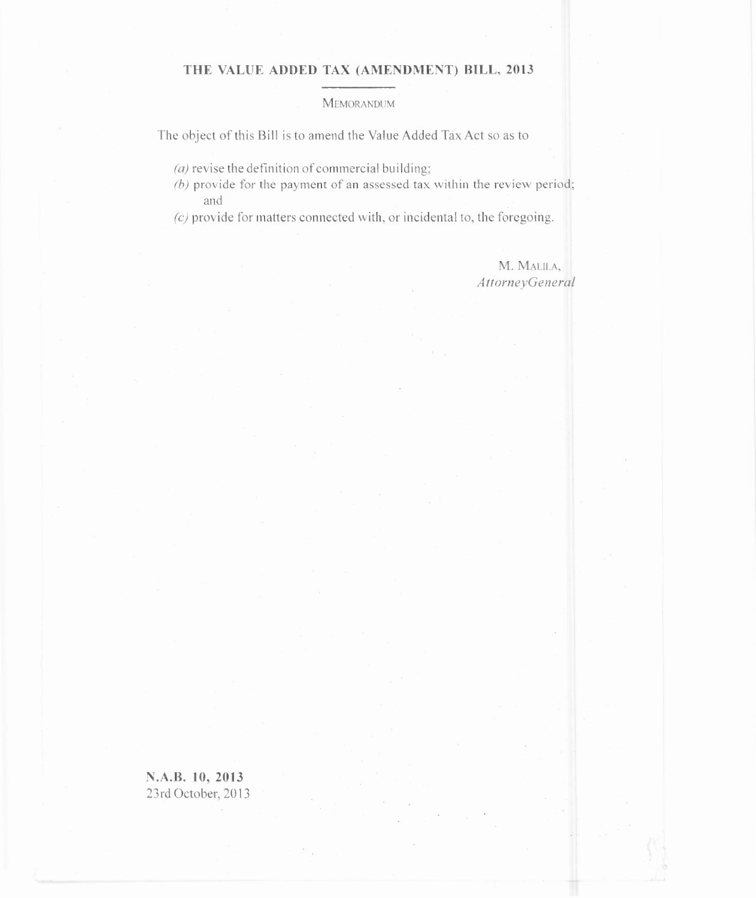## THE VALUE ADDED TAX (AMENDMENT) BILL, 2013

## **MEMORANDUM**

The object of this Bill is to amend the Value Added Tax Act so as to

- (a) revise the definition of commercial building;
- $(b)$  provide for the payment of an assessed tax within the review period; and
- *(c)* provide for matters connected with, or incidental to, the foregoing.

M. MALILA, *AttorneyGeneral*

N.A.B. 10, 2013 23rd October, 2013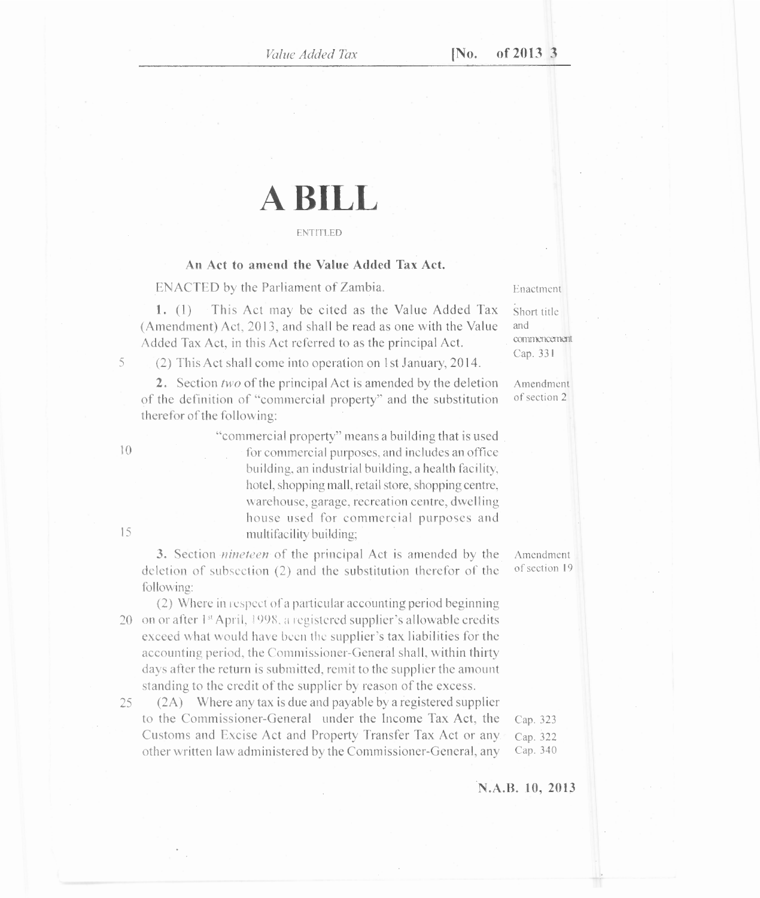# **A BILL**

#### ENTITLED

### **An Act to amend the Value Added Tax Act.**

ENACTED by the Parliament of Zambia. Enactment

1. (1) This Act may be cited as the Value Added Tax  $\frac{1}{\sqrt{2}}$  Short title (Amendment) Act, 2013, and shall be read as one with the Value and Added Tax Act, in this Act referred to as the principal Act.

<sup>5</sup> (2) This Act shall come into operation on 1st January, 2014.

2. Section *two* of the principal Act is amended by the deletion Amendment of the definition of "commercial property" and the substitution of section 2 therefor of the following:

"commercial property" means a building that is used 10 for commercial purposes, and includes an office building, an industrial building, a health facility, hotel, shopping mall, retail store, shopping centre, warehouse, garage, recreation centre, dwelling house used for commercial purposes and 15 multifacility building;

3. Section *nineteen* of the principal Act is amended by the Amendment letion of subsection (2) and the substitution therefor of the of section 19 deletion of subsection  $(2)$  and the substitution therefor of the following:

(2) Where in respect of a particular accounting period beginning 20 on or after  $1<sup>st</sup>$  April, 1998, a registered supplier's allowable credits exceed what would have been the supplier's tax liabilities for the accounting period, the Commissioner-General shall, within thirty days after the return is submitted, remit to the supplier the amount standing to the credit of the supplier by reason of the excess.

25 (2A) Where any tax is due and payable by a registered supplier to the Commissioner-General under the Income Tax Act, the Cap. 323 Customs and Excise Act and Property Transfer Tax Act or any. Cap. 322 other written law administered by the Commissioner-General, any Cap. 340

Cap. 331

**N.A.B. 10, 2013**